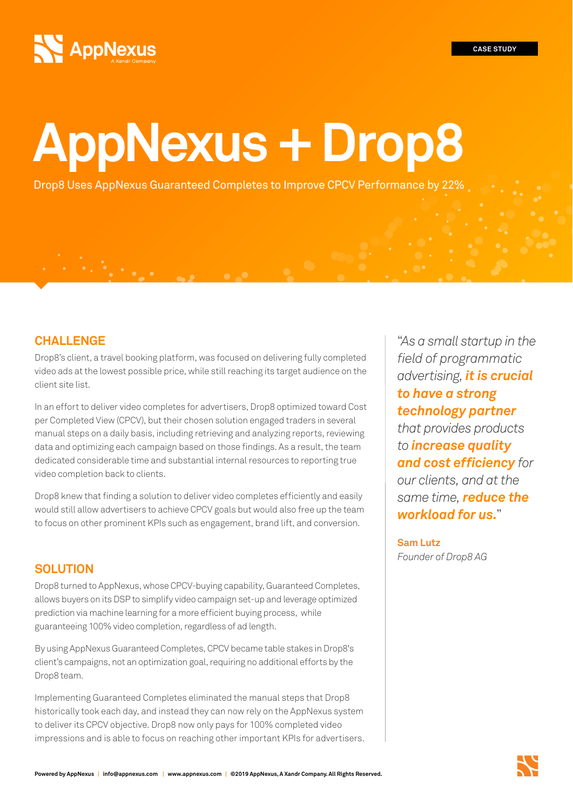# AppNexus

# **AppNexus + Drop8**

Drop8 Uses AppNexus Guaranteed Completes to Improve CPCV Performance by 22%

## **CHALLENGE**

Drop8's client, a travel booking platform, was focused on delivering fully completed video ads at the lowest possible price, while still reaching its target audience on the client site list.

In an effort to deliver video completes for advertisers, Drop8 optimized toward Cost per Completed View (CPCV), but their chosen solution engaged traders in several manual steps on a daily basis, including retrieving and analyzing reports, reviewing data and optimizing each campaign based on those findings. As a result, the team dedicated considerable time and substantial internal resources to reporting true video completion back to clients.

Drop8 knew that finding a solution to deliver video completes efficiently and easily would still allow advertisers to achieve CPCV goals but would also free up the team to focus on other prominent KPIs such as engagement, brand lift, and conversion.

### **SOLUTION**

Drop8 turned to AppNexus, whose CPCV-buying capability, Guaranteed Completes, allows buyers on its DSP to simplify video campaign set-up and leverage optimized prediction via machine learning for a more efficient buying process, while guaranteeing 100% video completion, regardless of ad length.

By using AppNexus Guaranteed Completes, CPCV became table stakes in Drop8's client's campaigns, not an optimization goal, requiring no additional efforts by the Drop8 team.

Implementing Guaranteed Completes eliminated the manual steps that Drop8 historically took each day, and instead they can now rely on the AppNexus system to deliver its CPCV objective. Drop8 now only pays for 100% completed video impressions and is able to focus on reaching other important KPIs for advertisers. "*As a small startup in the field of programmatic advertising, it is crucial to have a strong technology partner that provides products to increase quality and cost efficiency for our clients, and at the same time, reduce the workload for us.*"

**Sam Lutz** *Founder of Drop8 AG*